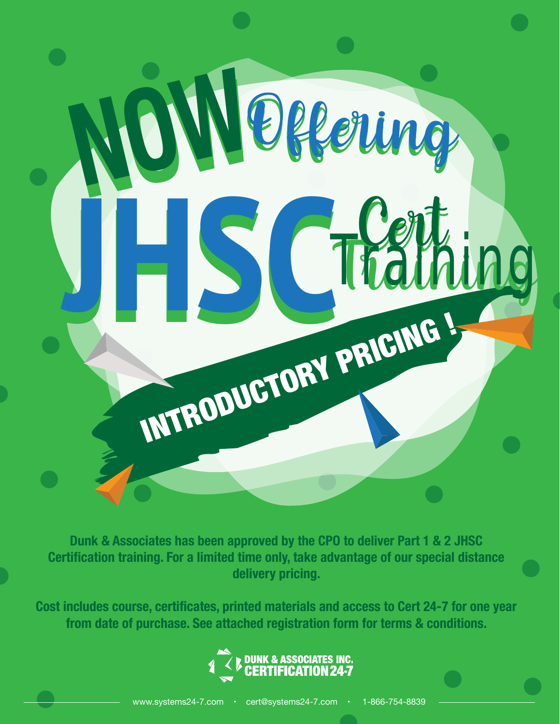# INTRODUCTORY PRICING ! **NOW NOW** JHS CTraining

**Dunk & Associates has been approved by the CPO to deliver Part 1 & 2 JHSC Certification training. For a limited time only, take advantage of our special distance delivery pricing.**

**Cost includes course, certificates, printed materials and access to Cert 24-7 for one year from date of purchase. See attached registration form for terms & conditions.**

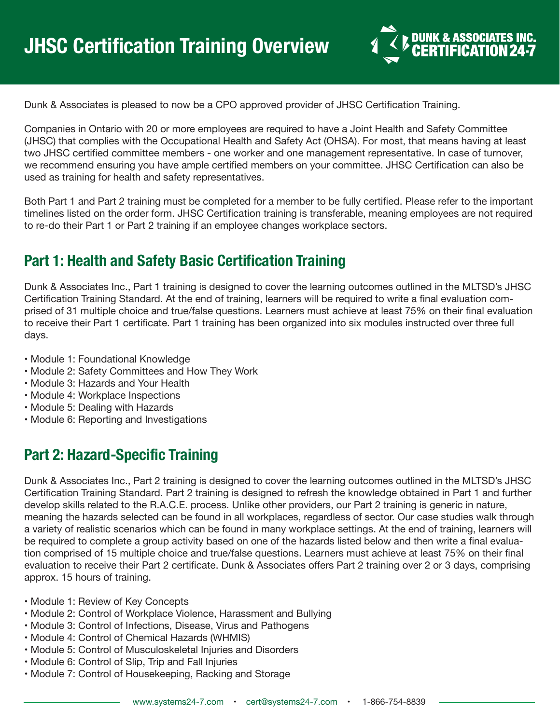

Dunk & Associates is pleased to now be a CPO approved provider of JHSC Certification Training.

Companies in Ontario with 20 or more employees are required to have a Joint Health and Safety Committee (JHSC) that complies with the Occupational Health and Safety Act (OHSA). For most, that means having at least two JHSC certified committee members - one worker and one management representative. In case of turnover, we recommend ensuring you have ample certified members on your committee. JHSC Certification can also be used as training for health and safety representatives.

Both Part 1 and Part 2 training must be completed for a member to be fully certified. Please refer to the important timelines listed on the order form. JHSC Certification training is transferable, meaning employees are not required to re-do their Part 1 or Part 2 training if an employee changes workplace sectors.

#### **Part 1: Health and Safety Basic Certification Training**

Dunk & Associates Inc., Part 1 training is designed to cover the learning outcomes outlined in the MLTSD's JHSC Certification Training Standard. At the end of training, learners will be required to write a final evaluation comprised of 31 multiple choice and true/false questions. Learners must achieve at least 75% on their final evaluation to receive their Part 1 certificate. Part 1 training has been organized into six modules instructed over three full days.

- Module 1: Foundational Knowledge
- Module 2: Safety Committees and How They Work
- Module 3: Hazards and Your Health
- Module 4: Workplace Inspections
- Module 5: Dealing with Hazards
- Module 6: Reporting and Investigations

# **Part 2: Hazard-Specific Training**

Dunk & Associates Inc., Part 2 training is designed to cover the learning outcomes outlined in the MLTSD's JHSC Certification Training Standard. Part 2 training is designed to refresh the knowledge obtained in Part 1 and further develop skills related to the R.A.C.E. process. Unlike other providers, our Part 2 training is generic in nature, meaning the hazards selected can be found in all workplaces, regardless of sector. Our case studies walk through a variety of realistic scenarios which can be found in many workplace settings. At the end of training, learners will be required to complete a group activity based on one of the hazards listed below and then write a final evaluation comprised of 15 multiple choice and true/false questions. Learners must achieve at least 75% on their final evaluation to receive their Part 2 certificate. Dunk & Associates offers Part 2 training over 2 or 3 days, comprising approx. 15 hours of training.

- Module 1: Review of Key Concepts
- Module 2: Control of Workplace Violence, Harassment and Bullying
- Module 3: Control of Infections, Disease, Virus and Pathogens
- Module 4: Control of Chemical Hazards (WHMIS)
- Module 5: Control of Musculoskeletal Injuries and Disorders
- Module 6: Control of Slip, Trip and Fall Injuries
- Module 7: Control of Housekeeping, Racking and Storage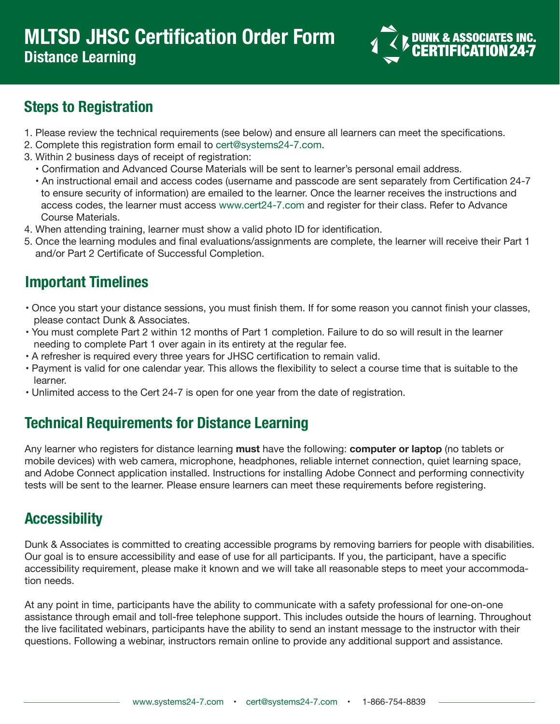

# **Steps to Registration**

- 1. Please review the technical requirements (see below) and ensure all learners can meet the specifications.
- 2. Complete this registration form email to cert@systems24-7.com.
- 3. Within 2 business days of receipt of registration:
	- Confirmation and Advanced Course Materials will be sent to learner's personal email address.
	- An instructional email and access codes (username and passcode are sent separately from Certification 24-7 to ensure security of information) are emailed to the learner. Once the learner receives the instructions and access codes, the learner must access www.cert24-7.com and register for their class. Refer to Advance Course Materials.
- 4. When attending training, learner must show a valid photo ID for identification.
- 5. Once the learning modules and final evaluations/assignments are complete, the learner will receive their Part 1 and/or Part 2 Certificate of Successful Completion.

# **Important Timelines**

- Once you start your distance sessions, you must finish them. If for some reason you cannot finish your classes, please contact Dunk & Associates.
- You must complete Part 2 within 12 months of Part 1 completion. Failure to do so will result in the learner needing to complete Part 1 over again in its entirety at the regular fee.
- A refresher is required every three years for JHSC certification to remain valid.
- Payment is valid for one calendar year. This allows the flexibility to select a course time that is suitable to the learner.
- Unlimited access to the Cert 24-7 is open for one year from the date of registration.

# **Technical Requirements for Distance Learning**

Any learner who registers for distance learning **must** have the following: **computer or laptop** (no tablets or mobile devices) with web camera, microphone, headphones, reliable internet connection, quiet learning space, and Adobe Connect application installed. Instructions for installing Adobe Connect and performing connectivity tests will be sent to the learner. Please ensure learners can meet these requirements before registering.

# **Accessibility**

Dunk & Associates is committed to creating accessible programs by removing barriers for people with disabilities. Our goal is to ensure accessibility and ease of use for all participants. If you, the participant, have a specific accessibility requirement, please make it known and we will take all reasonable steps to meet your accommodation needs.

At any point in time, participants have the ability to communicate with a safety professional for one-on-one assistance through email and toll-free telephone support. This includes outside the hours of learning. Throughout the live facilitated webinars, participants have the ability to send an instant message to the instructor with their questions. Following a webinar, instructors remain online to provide any additional support and assistance.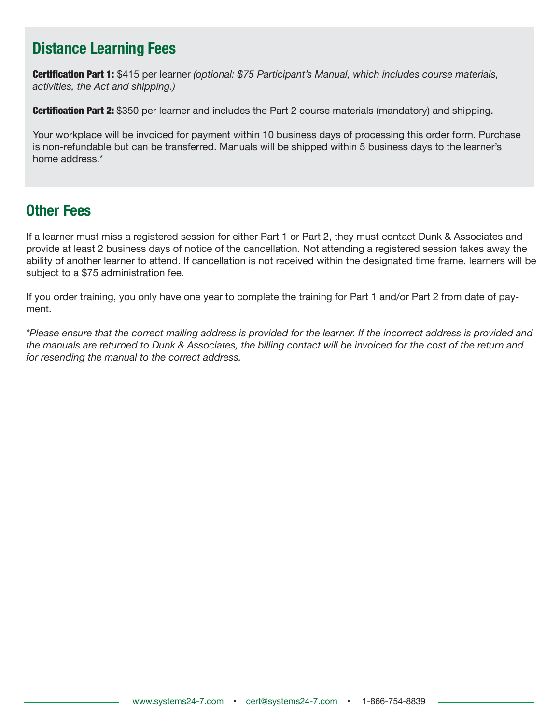#### **Distance Learning Fees**

Certification Part 1: \$415 per learner *(optional: \$75 Participant's Manual, which includes course materials, activities, the Act and shipping.)*

**Certification Part 2:** \$350 per learner and includes the Part 2 course materials (mandatory) and shipping.

Your workplace will be invoiced for payment within 10 business days of processing this order form. Purchase is non-refundable but can be transferred. Manuals will be shipped within 5 business days to the learner's home address.\*

#### **Other Fees**

If a learner must miss a registered session for either Part 1 or Part 2, they must contact Dunk & Associates and provide at least 2 business days of notice of the cancellation. Not attending a registered session takes away the ability of another learner to attend. If cancellation is not received within the designated time frame, learners will be subject to a \$75 administration fee.

If you order training, you only have one year to complete the training for Part 1 and/or Part 2 from date of payment.

*\*Please ensure that the correct mailing address is provided for the learner. If the incorrect address is provided and the manuals are returned to Dunk & Associates, the billing contact will be invoiced for the cost of the return and for resending the manual to the correct address.*